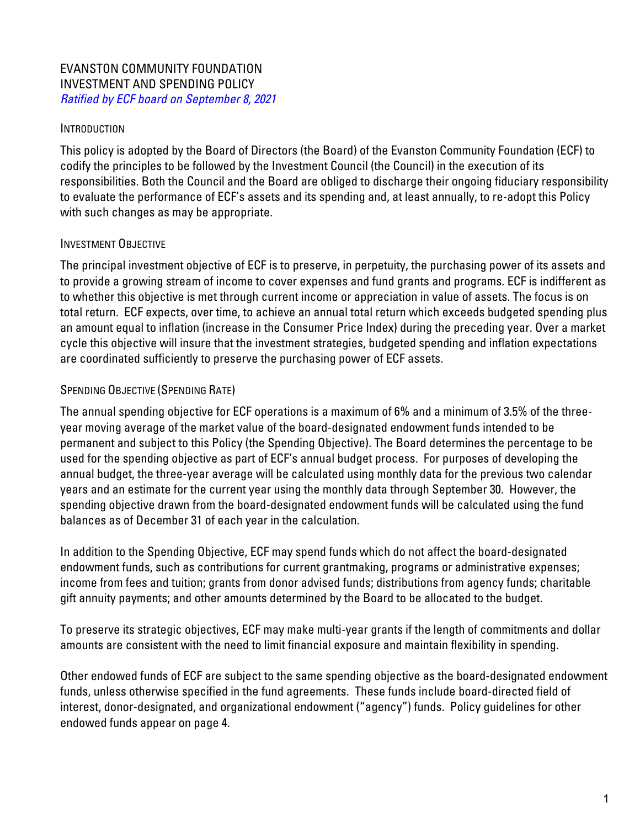### EVANSTON COMMUNITY FOUNDATION INVESTMENT AND SPENDING POLICY Ratified by ECF board on September 8, 2021

#### **INTRODUCTION**

This policy is adopted by the Board of Directors (the Board) of the Evanston Community Foundation (ECF) to codify the principles to be followed by the Investment Council (the Council) in the execution of its responsibilities. Both the Council and the Board are obliged to discharge their ongoing fiduciary responsibility to evaluate the performance of ECF's assets and its spending and, at least annually, to re-adopt this Policy with such changes as may be appropriate.

### INVESTMENT OBJECTIVE

The principal investment objective of ECF is to preserve, in perpetuity, the purchasing power of its assets and to provide a growing stream of income to cover expenses and fund grants and programs. ECF is indifferent as to whether this objective is met through current income or appreciation in value of assets. The focus is on total return. ECF expects, over time, to achieve an annual total return which exceeds budgeted spending plus an amount equal to inflation (increase in the Consumer Price Index) during the preceding year. Over a market cycle this objective will insure that the investment strategies, budgeted spending and inflation expectations are coordinated sufficiently to preserve the purchasing power of ECF assets.

### SPENDING OBJECTIVE (SPENDING RATE)

The annual spending objective for ECF operations is a maximum of 6% and a minimum of 3.5% of the threeyear moving average of the market value of the board-designated endowment funds intended to be permanent and subject to this Policy (the Spending Objective). The Board determines the percentage to be used for the spending objective as part of ECF's annual budget process. For purposes of developing the annual budget, the three-year average will be calculated using monthly data for the previous two calendar years and an estimate for the current year using the monthly data through September 30. However, the spending objective drawn from the board-designated endowment funds will be calculated using the fund balances as of December 31 of each year in the calculation.

In addition to the Spending Objective, ECF may spend funds which do not affect the board-designated endowment funds, such as contributions for current grantmaking, programs or administrative expenses; income from fees and tuition; grants from donor advised funds; distributions from agency funds; charitable gift annuity payments; and other amounts determined by the Board to be allocated to the budget.

To preserve its strategic objectives, ECF may make multi-year grants if the length of commitments and dollar amounts are consistent with the need to limit financial exposure and maintain flexibility in spending.

Other endowed funds of ECF are subject to the same spending objective as the board-designated endowment funds, unless otherwise specified in the fund agreements. These funds include board-directed field of interest, donor-designated, and organizational endowment ("agency") funds. Policy guidelines for other endowed funds appear on page 4.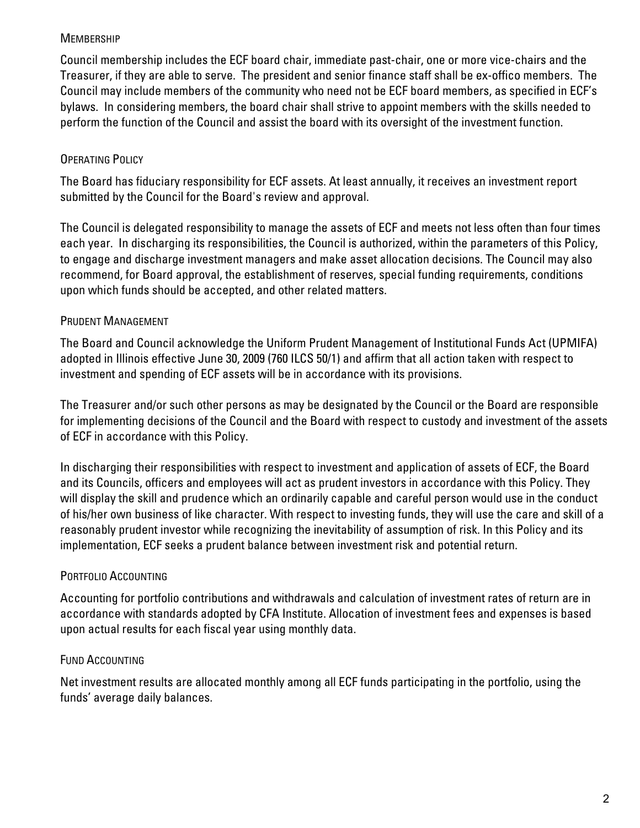### **MEMBERSHIP**

Council membership includes the ECF board chair, immediate past-chair, one or more vice-chairs and the Treasurer, if they are able to serve. The president and senior finance staff shall be ex-offico members. The Council may include members of the community who need not be ECF board members, as specified in ECF's bylaws. In considering members, the board chair shall strive to appoint members with the skills needed to perform the function of the Council and assist the board with its oversight of the investment function.

## OPERATING POLICY

The Board has fiduciary responsibility for ECF assets. At least annually, it receives an investment report submitted by the Council for the Board's review and approval.

The Council is delegated responsibility to manage the assets of ECF and meets not less often than four times each year. In discharging its responsibilities, the Council is authorized, within the parameters of this Policy, to engage and discharge investment managers and make asset allocation decisions. The Council may also recommend, for Board approval, the establishment of reserves, special funding requirements, conditions upon which funds should be accepted, and other related matters.

## PRUDENT MANAGEMENT

The Board and Council acknowledge the Uniform Prudent Management of Institutional Funds Act (UPMIFA) adopted in Illinois effective June 30, 2009 (760 ILCS 50/1) and affirm that all action taken with respect to investment and spending of ECF assets will be in accordance with its provisions.

The Treasurer and/or such other persons as may be designated by the Council or the Board are responsible for implementing decisions of the Council and the Board with respect to custody and investment of the assets of ECF in accordance with this Policy.

In discharging their responsibilities with respect to investment and application of assets of ECF, the Board and its Councils, officers and employees will act as prudent investors in accordance with this Policy. They will display the skill and prudence which an ordinarily capable and careful person would use in the conduct of his/her own business of like character. With respect to investing funds, they will use the care and skill of a reasonably prudent investor while recognizing the inevitability of assumption of risk. In this Policy and its implementation, ECF seeks a prudent balance between investment risk and potential return.

# PORTFOLIO ACCOUNTING

Accounting for portfolio contributions and withdrawals and calculation of investment rates of return are in accordance with standards adopted by CFA Institute. Allocation of investment fees and expenses is based upon actual results for each fiscal year using monthly data.

# FUND ACCOUNTING

Net investment results are allocated monthly among all ECF funds participating in the portfolio, using the funds' average daily balances.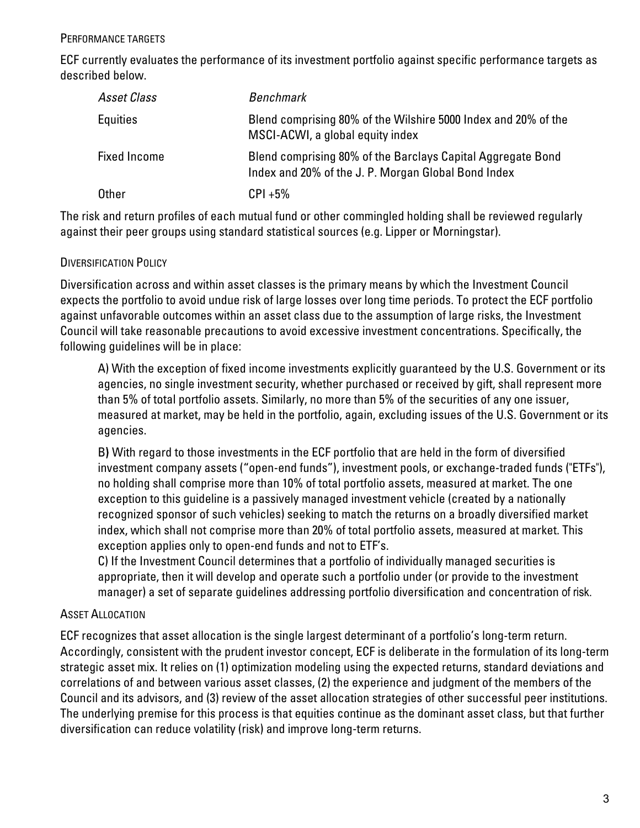ECF currently evaluates the performance of its investment portfolio against specific performance targets as described below.

| Asset Class         | <b>Benchmark</b>                                                                                                   |
|---------------------|--------------------------------------------------------------------------------------------------------------------|
| <b>Equities</b>     | Blend comprising 80% of the Wilshire 5000 Index and 20% of the<br>MSCI-ACWI, a global equity index                 |
| <b>Fixed Income</b> | Blend comprising 80% of the Barclays Capital Aggregate Bond<br>Index and 20% of the J. P. Morgan Global Bond Index |
| Other               | $CPI + 5\%$                                                                                                        |

The risk and return profiles of each mutual fund or other commingled holding shall be reviewed regularly against their peer groups using standard statistical sources (e.g. Lipper or Morningstar).

### DIVERSIFICATION POLICY

Diversification across and within asset classes is the primary means by which the Investment Council expects the portfolio to avoid undue risk of large losses over long time periods. To protect the ECF portfolio against unfavorable outcomes within an asset class due to the assumption of large risks, the Investment Council will take reasonable precautions to avoid excessive investment concentrations. Specifically, the following guidelines will be in place:

A) With the exception of fixed income investments explicitly guaranteed by the U.S. Government or its agencies, no single investment security, whether purchased or received by gift, shall represent more than 5% of total portfolio assets. Similarly, no more than 5% of the securities of any one issuer, measured at market, may be held in the portfolio, again, excluding issues of the U.S. Government or its agencies.

B) With regard to those investments in the ECF portfolio that are held in the form of diversified investment company assets ("open-end funds"), investment pools, or exchange-traded funds ("ETFs"), no holding shall comprise more than 10% of total portfolio assets, measured at market. The one exception to this guideline is a passively managed investment vehicle (created by a nationally recognized sponsor of such vehicles) seeking to match the returns on a broadly diversified market index, which shall not comprise more than 20% of total portfolio assets, measured at market. This exception applies only to open-end funds and not to ETF's.

C) If the Investment Council determines that a portfolio of individually managed securities is appropriate, then it will develop and operate such a portfolio under (or provide to the investment manager) a set of separate guidelines addressing portfolio diversification and concentration of risk.

#### ASSET ALLOCATION

ECF recognizes that asset allocation is the single largest determinant of a portfolio's long-term return. Accordingly, consistent with the prudent investor concept, ECF is deliberate in the formulation of its long-term strategic asset mix. It relies on (1) optimization modeling using the expected returns, standard deviations and correlations of and between various asset classes, (2) the experience and judgment of the members of the Council and its advisors, and (3) review of the asset allocation strategies of other successful peer institutions. The underlying premise for this process is that equities continue as the dominant asset class, but that further diversification can reduce volatility (risk) and improve long-term returns.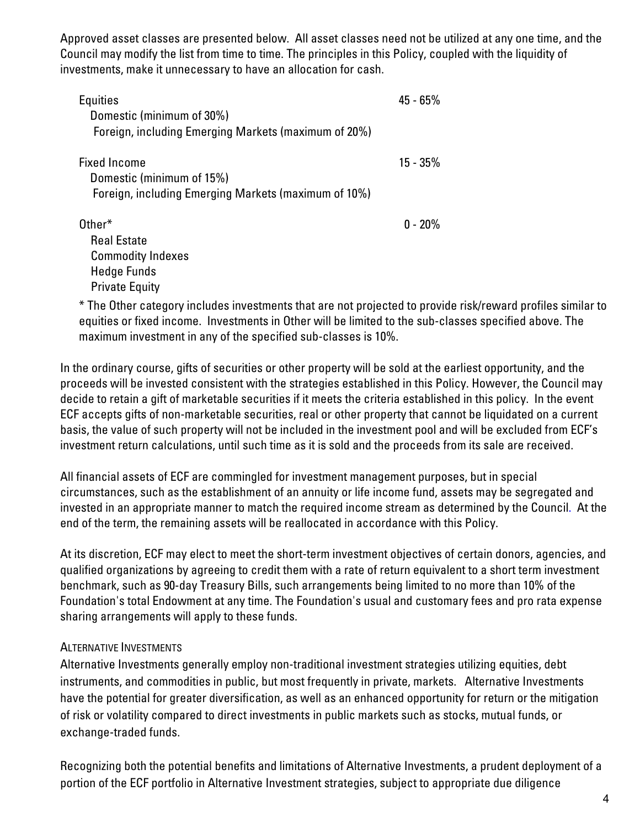Approved asset classes are presented below. All asset classes need not be utilized at any one time, and the Council may modify the list from time to time. The principles in this Policy, coupled with the liquidity of investments, make it unnecessary to have an allocation for cash.

| Equities                                             | $45 - 65\%$ |
|------------------------------------------------------|-------------|
| Domestic (minimum of 30%)                            |             |
| Foreign, including Emerging Markets (maximum of 20%) |             |
| <b>Fixed Income</b>                                  | $15 - 35\%$ |
| Domestic (minimum of 15%)                            |             |
| Foreign, including Emerging Markets (maximum of 10%) |             |
| Other*                                               | $0 - 20\%$  |
| <b>Real Estate</b>                                   |             |
| <b>Commodity Indexes</b>                             |             |
| <b>Hedge Funds</b>                                   |             |
| <b>Private Equity</b>                                |             |
| ≚TIOdi di ili di di di ili di di                     |             |

\* The Other category includes investments that are not projected to provide risk/reward profiles similar to equities or fixed income. Investments in Other will be limited to the sub-classes specified above. The maximum investment in any of the specified sub-classes is 10%.

In the ordinary course, gifts of securities or other property will be sold at the earliest opportunity, and the proceeds will be invested consistent with the strategies established in this Policy. However, the Council may decide to retain a gift of marketable securities if it meets the criteria established in this policy. In the event ECF accepts gifts of non-marketable securities, real or other property that cannot be liquidated on a current basis, the value of such property will not be included in the investment pool and will be excluded from ECF's investment return calculations, until such time as it is sold and the proceeds from its sale are received.

All financial assets of ECF are commingled for investment management purposes, but in special circumstances, such as the establishment of an annuity or life income fund, assets may be segregated and invested in an appropriate manner to match the required income stream as determined by the Council. At the end of the term, the remaining assets will be reallocated in accordance with this Policy.

At its discretion, ECF may elect to meet the short-term investment objectives of certain donors, agencies, and qualified organizations by agreeing to credit them with a rate of return equivalent to a short term investment benchmark, such as 90-day Treasury Bills, such arrangements being limited to no more than 10% of the Foundation's total Endowment at any time. The Foundation's usual and customary fees and pro rata expense sharing arrangements will apply to these funds.

#### ALTERNATIVE INVESTMENTS

Alternative Investments generally employ non-traditional investment strategies utilizing equities, debt instruments, and commodities in public, but most frequently in private, markets. Alternative Investments have the potential for greater diversification, as well as an enhanced opportunity for return or the mitigation of risk or volatility compared to direct investments in public markets such as stocks, mutual funds, or exchange-traded funds.

Recognizing both the potential benefits and limitations of Alternative Investments, a prudent deployment of a portion of the ECF portfolio in Alternative Investment strategies, subject to appropriate due diligence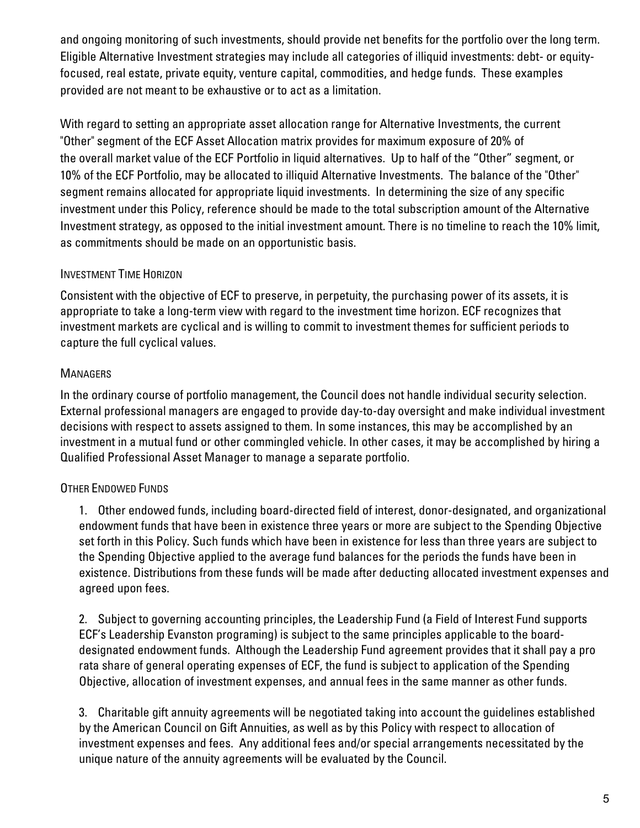and ongoing monitoring of such investments, should provide net benefits for the portfolio over the long term. Eligible Alternative Investment strategies may include all categories of illiquid investments: debt- or equityfocused, real estate, private equity, venture capital, commodities, and hedge funds. These examples provided are not meant to be exhaustive or to act as a limitation.

With regard to setting an appropriate asset allocation range for Alternative Investments, the current "Other" segment of the ECF Asset Allocation matrix provides for maximum exposure of 20% of the overall market value of the ECF Portfolio in liquid alternatives. Up to half of the "Other" segment, or 10% of the ECF Portfolio, may be allocated to illiquid Alternative Investments. The balance of the "Other" segment remains allocated for appropriate liquid investments. In determining the size of any specific investment under this Policy, reference should be made to the total subscription amount of the Alternative Investment strategy, as opposed to the initial investment amount. There is no timeline to reach the 10% limit, as commitments should be made on an opportunistic basis.

## INVESTMENT TIME HORIZON

Consistent with the objective of ECF to preserve, in perpetuity, the purchasing power of its assets, it is appropriate to take a long-term view with regard to the investment time horizon. ECF recognizes that investment markets are cyclical and is willing to commit to investment themes for sufficient periods to capture the full cyclical values.

# **MANAGERS**

In the ordinary course of portfolio management, the Council does not handle individual security selection. External professional managers are engaged to provide day-to-day oversight and make individual investment decisions with respect to assets assigned to them. In some instances, this may be accomplished by an investment in a mutual fund or other commingled vehicle. In other cases, it may be accomplished by hiring a Qualified Professional Asset Manager to manage a separate portfolio.

# OTHER ENDOWED FUNDS

1. Other endowed funds, including board-directed field of interest, donor-designated, and organizational endowment funds that have been in existence three years or more are subject to the Spending Objective set forth in this Policy. Such funds which have been in existence for less than three years are subject to the Spending Objective applied to the average fund balances for the periods the funds have been in existence. Distributions from these funds will be made after deducting allocated investment expenses and agreed upon fees.

2. Subject to governing accounting principles, the Leadership Fund (a Field of Interest Fund supports ECF's Leadership Evanston programing) is subject to the same principles applicable to the boarddesignated endowment funds. Although the Leadership Fund agreement provides that it shall pay a pro rata share of general operating expenses of ECF, the fund is subject to application of the Spending Objective, allocation of investment expenses, and annual fees in the same manner as other funds.

3. Charitable gift annuity agreements will be negotiated taking into account the guidelines established by the American Council on Gift Annuities, as well as by this Policy with respect to allocation of investment expenses and fees. Any additional fees and/or special arrangements necessitated by the unique nature of the annuity agreements will be evaluated by the Council.